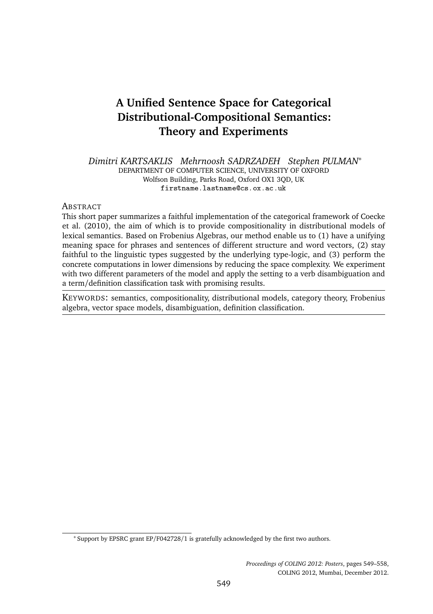# **A Unified Sentence Space for Categorical Distributional-Compositional Semantics: Theory and Experiments**

*Dimitri KARTSAKLIS Mehrnoosh SADRZADEH Stephen PULMAN*<sup>∗</sup> DEPARTMENT OF COMPUTER SCIENCE, UNIVERSITY OF OXFORD Wolfson Building, Parks Road, Oxford OX1 3QD, UK firstname.lastname@cs.ox.ac.uk

#### **ABSTRACT**

This short paper summarizes a faithful implementation of the categorical framework of Coecke et al. (2010), the aim of which is to provide compositionality in distributional models of lexical semantics. Based on Frobenius Algebras, our method enable us to (1) have a unifying meaning space for phrases and sentences of different structure and word vectors, (2) stay faithful to the linguistic types suggested by the underlying type-logic, and (3) perform the concrete computations in lower dimensions by reducing the space complexity. We experiment with two different parameters of the model and apply the setting to a verb disambiguation and a term/definition classification task with promising results.

KEYWORDS: semantics, compositionality, distributional models, category theory, Frobenius algebra, vector space models, disambiguation, definition classification.

<sup>∗</sup> Support by EPSRC grant EP/F042728/1 is gratefully acknowledged by the first two authors.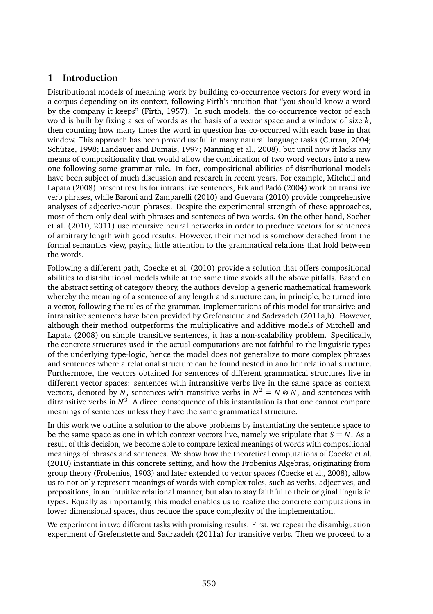# **1 Introduction**

Distributional models of meaning work by building co-occurrence vectors for every word in a corpus depending on its context, following Firth's intuition that "you should know a word by the company it keeps" (Firth, 1957). In such models, the co-occurrence vector of each word is built by fixing a set of words as the basis of a vector space and a window of size *k*, then counting how many times the word in question has co-occurred with each base in that window. This approach has been proved useful in many natural language tasks (Curran, 2004; Schütze, 1998; Landauer and Dumais, 1997; Manning et al., 2008), but until now it lacks any means of compositionality that would allow the combination of two word vectors into a new one following some grammar rule. In fact, compositional abilities of distributional models have been subject of much discussion and research in recent years. For example, Mitchell and Lapata (2008) present results for intransitive sentences, Erk and Padó (2004) work on transitive verb phrases, while Baroni and Zamparelli (2010) and Guevara (2010) provide comprehensive analyses of adjective-noun phrases. Despite the experimental strength of these approaches, most of them only deal with phrases and sentences of two words. On the other hand, Socher et al. (2010, 2011) use recursive neural networks in order to produce vectors for sentences of arbitrary length with good results. However, their method is somehow detached from the formal semantics view, paying little attention to the grammatical relations that hold between the words.

Following a different path, Coecke et al. (2010) provide a solution that offers compositional abilities to distributional models while at the same time avoids all the above pitfalls. Based on the abstract setting of category theory, the authors develop a generic mathematical framework whereby the meaning of a sentence of any length and structure can, in principle, be turned into a vector, following the rules of the grammar. Implementations of this model for transitive and intransitive sentences have been provided by Grefenstette and Sadrzadeh (2011a,b). However, although their method outperforms the multiplicative and additive models of Mitchell and Lapata (2008) on simple transitive sentences, it has a non-scalability problem. Specifically, the concrete structures used in the actual computations are not faithful to the linguistic types of the underlying type-logic, hence the model does not generalize to more complex phrases and sentences where a relational structure can be found nested in another relational structure. Furthermore, the vectors obtained for sentences of different grammatical structures live in different vector spaces: sentences with intransitive verbs live in the same space as context vectors, denoted by *N*, sentences with transitive verbs in  $N^2 = N \otimes N$ , and sentences with ditransitive verbs in  $N^3$ . A direct consequence of this instantiation is that one cannot compare meanings of sentences unless they have the same grammatical structure.

In this work we outline a solution to the above problems by instantiating the sentence space to be the same space as one in which context vectors live, namely we stipulate that  $S = N$ . As a result of this decision, we become able to compare lexical meanings of words with compositional meanings of phrases and sentences. We show how the theoretical computations of Coecke et al. (2010) instantiate in this concrete setting, and how the Frobenius Algebras, originating from group theory (Frobenius, 1903) and later extended to vector spaces (Coecke et al., 2008), allow us to not only represent meanings of words with complex roles, such as verbs, adjectives, and prepositions, in an intuitive relational manner, but also to stay faithful to their original linguistic types. Equally as importantly, this model enables us to realize the concrete computations in lower dimensional spaces, thus reduce the space complexity of the implementation.

We experiment in two different tasks with promising results: First, we repeat the disambiguation experiment of Grefenstette and Sadrzadeh (2011a) for transitive verbs. Then we proceed to a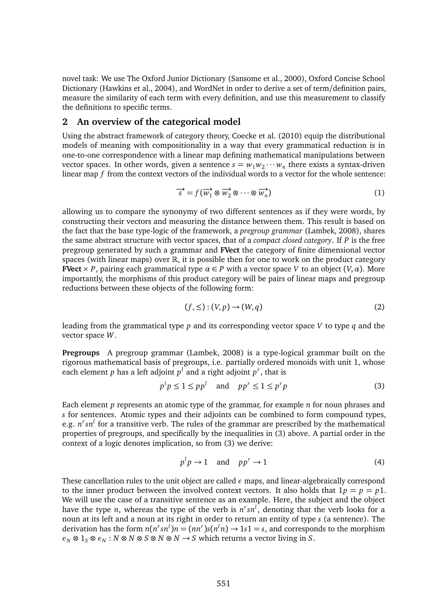novel task: We use The Oxford Junior Dictionary (Sansome et al., 2000), Oxford Concise School Dictionary (Hawkins et al., 2004), and WordNet in order to derive a set of term/definition pairs, measure the similarity of each term with every definition, and use this measurement to classify the definitions to specific terms.

### **2 An overview of the categorical model**

Using the abstract framework of category theory, Coecke et al. (2010) equip the distributional models of meaning with compositionality in a way that every grammatical reduction is in one-to-one correspondence with a linear map defining mathematical manipulations between vector spaces. In other words, given a sentence  $s = w_1w_2 \cdots w_n$  there exists a syntax-driven linear map *f* from the context vectors of the individual words to a vector for the whole sentence:

$$
\overrightarrow{s} = f(\overrightarrow{w_1} \otimes \overrightarrow{w_2} \otimes \cdots \otimes \overrightarrow{w_n})
$$
 (1)

allowing us to compare the synonymy of two different sentences as if they were words, by constructing their vectors and measuring the distance between them. This result is based on the fact that the base type-logic of the framework, a *pregroup grammar* (Lambek, 2008), shares the same abstract structure with vector spaces, that of a *compact closed category*. If *P* is the free pregroup generated by such a grammar and **FVect** the category of finite dimensional vector spaces (with linear maps) over  $\mathbb R$ , it is possible then for one to work on the product category **FVect**  $\times$  *P*, pairing each grammatical type  $\alpha \in P$  with a vector space *V* to an object  $(V, \alpha)$ . More importantly, the morphisms of this product category will be pairs of linear maps and pregroup reductions between these objects of the following form:

$$
(f, \leq) : (V, p) \to (W, q)
$$
 (2)

leading from the grammatical type *p* and its corresponding vector space *V* to type *q* and the vector space *W*.

**Pregroups** A pregroup grammar (Lambek, 2008) is a type-logical grammar built on the rigorous mathematical basis of pregroups, i.e. partially ordered monoids with unit 1, whose each element *p* has a left adjoint  $p<sup>l</sup>$  and a right adjoint  $p<sup>r</sup>$ , that is

$$
p^l p \le 1 \le pp^l \quad \text{and} \quad pp^r \le 1 \le p^r p \tag{3}
$$

Each element *p* represents an atomic type of the grammar, for example *n* for noun phrases and *s* for sentences. Atomic types and their adjoints can be combined to form compound types, e.g. *n r sn<sup>l</sup>* for a transitive verb. The rules of the grammar are prescribed by the mathematical properties of pregroups, and specifically by the inequalities in (3) above. A partial order in the context of a logic denotes implication, so from (3) we derive:

$$
p^l p \to 1 \quad \text{and} \quad pp^r \to 1 \tag{4}
$$

These cancellation rules to the unit object are called *ε* maps, and linear-algebraically correspond to the inner product between the involved context vectors. It also holds that  $1p = p = p1$ . We will use the case of a transitive sentence as an example. Here, the subject and the object have the type *n*, whereas the type of the verb is  $n<sup>r</sup>sn<sup>l</sup>$ , denoting that the verb looks for a noun at its left and a noun at its right in order to return an entity of type *s* (a sentence). The derivation has the form  $n(n^r s n^l)n = (nn^r)s(n^l n) \rightarrow 1s1 = s$ , and corresponds to the morphism  $\epsilon_N \otimes 1_S \otimes \epsilon_N : N \otimes N \otimes S \otimes N \otimes N \to S$  which returns a vector living in *S*.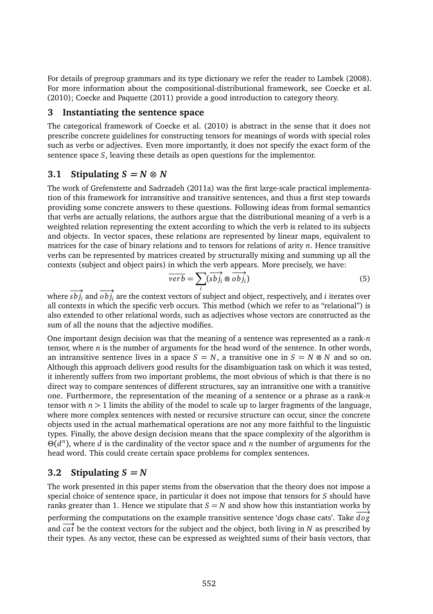For details of pregroup grammars and its type dictionary we refer the reader to Lambek (2008). For more information about the compositional-distributional framework, see Coecke et al. (2010); Coecke and Paquette (2011) provide a good introduction to category theory.

### **3 Instantiating the sentence space**

The categorical framework of Coecke et al. (2010) is abstract in the sense that it does not prescribe concrete guidelines for constructing tensors for meanings of words with special roles such as verbs or adjectives. Even more importantly, it does not specify the exact form of the sentence space *S*, leaving these details as open questions for the implementor.

### **3.1 Stipulating**  $S = N \otimes N$

The work of Grefenstette and Sadrzadeh (2011a) was the first large-scale practical implementation of this framework for intransitive and transitive sentences, and thus a first step towards providing some concrete answers to these questions. Following ideas from formal semantics that verbs are actually relations, the authors argue that the distributional meaning of a verb is a weighted relation representing the extent according to which the verb is related to its subjects and objects. In vector spaces, these relations are represented by linear maps, equivalent to matrices for the case of binary relations and to tensors for relations of arity *n*. Hence transitive verbs can be represented by matrices created by structurally mixing and summing up all the contexts (subject and object pairs) in which the verb appears. More precisely, we have:

$$
\overrightarrow{verb} = \sum_{i} (\overrightarrow{sb})_{i} \otimes \overrightarrow{obj}_{i})
$$
 (5)

where  $s b j_i$  and  $o b j_i$  are the context vectors of subject and object, respectively, and *i* iterates over all contexts in which the specific verb occurs. This method (which we refer to as "relational") is also extended to other relational words, such as adjectives whose vectors are constructed as the sum of all the nouns that the adjective modifies.

One important design decision was that the meaning of a sentence was represented as a rank-*n* tensor, where *n* is the number of arguments for the head word of the sentence. In other words, an intransitive sentence lives in a space  $S = N$ , a transitive one in  $S = N \otimes N$  and so on. Although this approach delivers good results for the disambiguation task on which it was tested, it inherently suffers from two important problems, the most obvious of which is that there is no direct way to compare sentences of different structures, say an intransitive one with a transitive one. Furthermore, the representation of the meaning of a sentence or a phrase as a rank-*n* tensor with  $n > 1$  limits the ability of the model to scale up to larger fragments of the language, where more complex sentences with nested or recursive structure can occur, since the concrete objects used in the actual mathematical operations are not any more faithful to the linguistic types. Finally, the above design decision means that the space complexity of the algorithm is Θ(*d n* ), where *d* is the cardinality of the vector space and *n* the number of arguments for the head word. This could create certain space problems for complex sentences.

# **3.2 Stipulating**  $S = N$

The work presented in this paper stems from the observation that the theory does not impose a special choice of sentence space, in particular it does not impose that tensors for *S* should have ranks greater than 1. Hence we stipulate that  $S = N$  and show how this instantiation works by performing the computations on the example transitive sentence 'dogs chase cats'. Take  $\overline{d}\overline{o}g$ and  $\overrightarrow{ca}$  be the context vectors for the subject and the object, both living in *N* as prescribed by their types. As any vector, these can be expressed as weighted sums of their basis vectors, that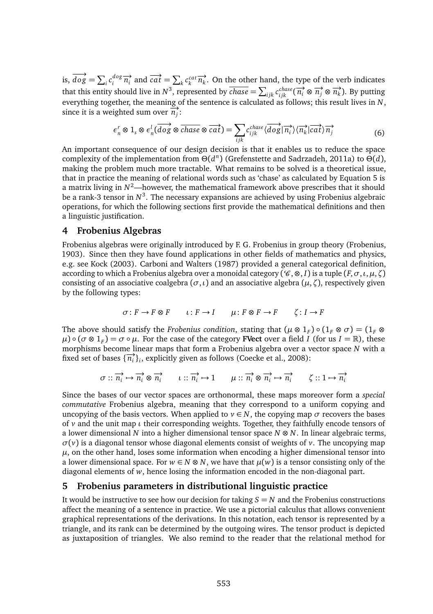is,  $\overrightarrow{dog} = \sum_i c_i^{dog} \overrightarrow{n_i}$  and  $\overrightarrow{cat} = \sum_k c_k^{cat} \overrightarrow{n_k}$ . On the other hand, the type of the verb indicates that this entity should live in  $N^3$ , represented by  $\overline{chase} = \sum_{ijk} c_{ijk}^{chase} (\overrightarrow{n_i} \otimes \overrightarrow{n_j} \otimes \overrightarrow{n_k})$ . By putting everything together, the meaning of the sentence is calculated as follows; this result lives in *N*, since it is a weighted sum over  $\overrightarrow{n_j}$ :

$$
\epsilon_n^r \otimes 1_s \otimes \epsilon_n^l(\overrightarrow{dog} \otimes \overrightarrow{chase} \otimes \overrightarrow{cat}) = \sum_{ijk} c_{ijk}^{chase} \langle \overrightarrow{dog} | \overrightarrow{n_i} \rangle \langle \overrightarrow{n_k} | \overrightarrow{cat} \rangle \overrightarrow{n_j}
$$
(6)

An important consequence of our design decision is that it enables us to reduce the space complexity of the implementation from Θ(*d n* ) (Grefenstette and Sadrzadeh, 2011a) to Θ(*d*), making the problem much more tractable. What remains to be solved is a theoretical issue, that in practice the meaning of relational words such as 'chase' as calculated by Equation 5 is a matrix living in  $N^2$ —however, the mathematical framework above prescribes that it should be a rank-3 tensor in  $N^3$ . The necessary expansions are achieved by using Frobenius algebraic operations, for which the following sections first provide the mathematical definitions and then a linguistic justification.

#### **4 Frobenius Algebras**

Frobenius algebras were originally introduced by F. G. Frobenius in group theory (Frobenius, 1903). Since then they have found applications in other fields of mathematics and physics, e.g. see Kock (2003). Carboni and Walters (1987) provided a general categorical definition, according to which a Frobenius algebra over a monoidal category ( $\mathscr{C}, \otimes, I$ ) is a tuple  $(F, \sigma, \iota, \mu, \zeta)$ consisting of an associative coalgebra ( $\sigma$ ,*ι*) and an associative algebra ( $\mu$ , $\zeta$ ), respectively given by the following types:

$$
\sigma\colon F\to F\otimes F\qquad \iota\colon F\to I\qquad \mu\colon F\otimes F\to F\qquad \zeta\colon I\to F
$$

The above should satisfy the *Frobenius condition*, stating that  $(\mu \otimes 1_F) \circ (1_F \otimes \sigma) = (1_F \otimes$  $\mu$ )  $\circ$  ( $\sigma \otimes 1_F$ ) =  $\sigma \circ \mu$ . For the case of the category **FVect** over a field *I* (for us  $I = \mathbb{R}$ ), these morphisms become linear maps that form a Frobenius algebra over a vector space *N* with a fixed set of bases  $\{\overrightarrow{n_i}\}_i$ , explicitly given as follows (Coecke et al., 2008):

$$
\sigma :: \overrightarrow{n_i} \mapsto \overrightarrow{n_i} \otimes \overrightarrow{n_i} \qquad \iota :: \overrightarrow{n_i} \mapsto 1 \qquad \mu :: \overrightarrow{n_i} \otimes \overrightarrow{n_i} \mapsto \overrightarrow{n_i} \qquad \zeta :: 1 \mapsto \overrightarrow{n_i}
$$

Since the bases of our vector spaces are orthonormal, these maps moreover form a *special commutative* Frobenius algebra, meaning that they correspond to a uniform copying and uncopying of the basis vectors. When applied to  $v \in N$ , the copying map  $\sigma$  recovers the bases of *v* and the unit map *ι* their corresponding weights. Together, they faithfully encode tensors of a lower dimensional *N* into a higher dimensional tensor space *N* ⊗ *N*. In linear algebraic terms,  $\sigma(\nu)$  is a diagonal tensor whose diagonal elements consist of weights of  $\nu$ . The uncopying map  $\mu$ , on the other hand, loses some information when encoding a higher dimensional tensor into a lower dimensional space. For  $w \in N \otimes N$ , we have that  $\mu(w)$  is a tensor consisting only of the diagonal elements of *w*, hence losing the information encoded in the non-diagonal part.

#### **5 Frobenius parameters in distributional linguistic practice**

It would be instructive to see how our decision for taking  $S = N$  and the Frobenius constructions affect the meaning of a sentence in practice. We use a pictorial calculus that allows convenient graphical representations of the derivations. In this notation, each tensor is represented by a triangle, and its rank can be determined by the outgoing wires. The tensor product is depicted as juxtaposition of triangles. We also remind to the reader that the relational method for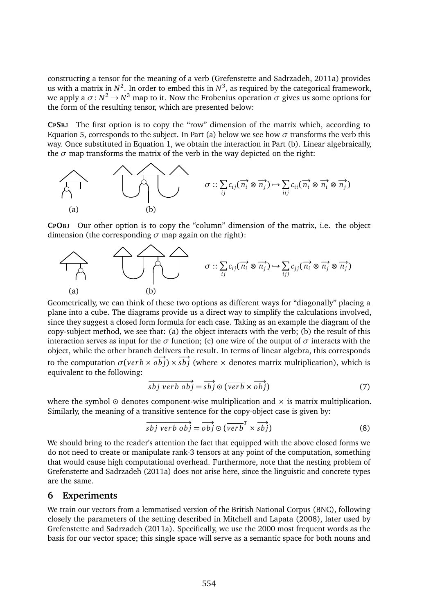constructing a tensor for the meaning of a verb (Grefenstette and Sadrzadeh, 2011a) provides us with a matrix in  $N^2$ . In order to embed this in  $N^3$ , as required by the categorical framework, we apply a  $\sigma$ :  $N^2 \to N^3$  map to it. Now the Frobenius operation  $\sigma$  gives us some options for the form of the resulting tensor, which are presented below:

**CPSBJ** The first option is to copy the "row" dimension of the matrix which, according to Equation 5, corresponds to the subject. In Part (a) below we see how *σ* transforms the verb this way. Once substituted in Equation 1, we obtain the interaction in Part (b). Linear algebraically, the  $\sigma$  map transforms the matrix of the verb in the way depicted on the right:



**CPOBJ** Our other option is to copy the "column" dimension of the matrix, i.e. the object dimension (the corresponding *σ* map again on the right):



Geometrically, we can think of these two options as different ways for "diagonally" placing a plane into a cube. The diagrams provide us a direct way to simplify the calculations involved, since they suggest a closed form formula for each case. Taking as an example the diagram of the copy-subject method, we see that: (a) the object interacts with the verb; (b) the result of this interaction serves as input for the  $\sigma$  function; (c) one wire of the output of  $\sigma$  interacts with the object, while the other branch delivers the result. In terms of linear algebra, this corresponds to the computation  $\sigma(\overrightarrow{verb} \times \overrightarrow{obj}) \times \overrightarrow{sb}$  (where × denotes matrix multiplication), which is equivalent to the following:

$$
\overrightarrow{sbj} \overrightarrow{verb} \overrightarrow{obj} = \overrightarrow{sbj} \odot (\overrightarrow{verb} \times \overrightarrow{obj})
$$
 (7)

where the symbol  $\odot$  denotes component-wise multiplication and  $\times$  is matrix multiplication. Similarly, the meaning of a transitive sentence for the copy-object case is given by:

$$
\overrightarrow{sbj} \overrightarrow{verb} \overrightarrow{obj} = \overrightarrow{obj} \odot (\overrightarrow{verb}^T \times \overrightarrow{sbj})
$$
 (8)

We should bring to the reader's attention the fact that equipped with the above closed forms we do not need to create or manipulate rank-3 tensors at any point of the computation, something that would cause high computational overhead. Furthermore, note that the nesting problem of Grefenstette and Sadrzadeh (2011a) does not arise here, since the linguistic and concrete types are the same.

#### **6 Experiments**

We train our vectors from a lemmatised version of the British National Corpus (BNC), following closely the parameters of the setting described in Mitchell and Lapata (2008), later used by Grefenstette and Sadrzadeh (2011a). Specifically, we use the 2000 most frequent words as the basis for our vector space; this single space will serve as a semantic space for both nouns and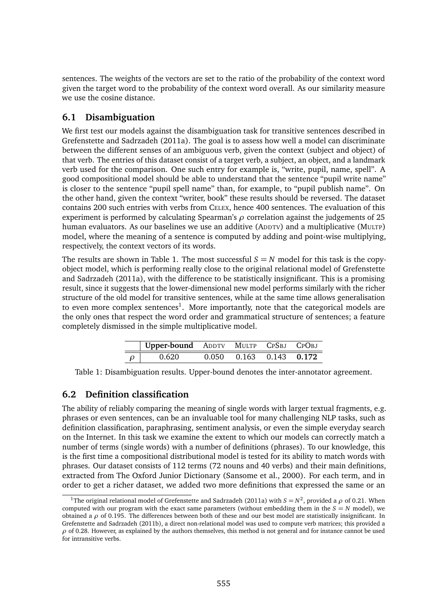sentences. The weights of the vectors are set to the ratio of the probability of the context word given the target word to the probability of the context word overall. As our similarity measure we use the cosine distance.

### **6.1 Disambiguation**

We first test our models against the disambiguation task for transitive sentences described in Grefenstette and Sadrzadeh (2011a). The goal is to assess how well a model can discriminate between the different senses of an ambiguous verb, given the context (subject and object) of that verb. The entries of this dataset consist of a target verb, a subject, an object, and a landmark verb used for the comparison. One such entry for example is, "write, pupil, name, spell". A good compositional model should be able to understand that the sentence "pupil write name" is closer to the sentence "pupil spell name" than, for example, to "pupil publish name". On the other hand, given the context "writer, book" these results should be reversed. The dataset contains 200 such entries with verbs from CELEX, hence 400 sentences. The evaluation of this experiment is performed by calculating Spearman's *ρ* correlation against the judgements of 25 human evaluators. As our baselines we use an additive (ADDTV) and a multiplicative (MULTP) model, where the meaning of a sentence is computed by adding and point-wise multiplying, respectively, the context vectors of its words.

The results are shown in Table 1. The most successful  $S = N$  model for this task is the copyobject model, which is performing really close to the original relational model of Grefenstette and Sadrzadeh (2011a), with the difference to be statistically insignificant. This is a promising result, since it suggests that the lower-dimensional new model performs similarly with the richer structure of the old model for transitive sentences, while at the same time allows generalisation to even more complex sentences<sup>1</sup>. More importantly, note that the categorical models are the only ones that respect the word order and grammatical structure of sentences; a feature completely dismissed in the simple multiplicative model.

| Upper-bound ADDTV MULTP CPSBJ CPOBJ |               |                         |  |
|-------------------------------------|---------------|-------------------------|--|
|                                     | <u>በ በ</u> 50 | $0.163$ $0.143$ $0.172$ |  |

Table 1: Disambiguation results. Upper-bound denotes the inter-annotator agreement.

# **6.2 Definition classification**

The ability of reliably comparing the meaning of single words with larger textual fragments, e.g. phrases or even sentences, can be an invaluable tool for many challenging NLP tasks, such as definition classification, paraphrasing, sentiment analysis, or even the simple everyday search on the Internet. In this task we examine the extent to which our models can correctly match a number of terms (single words) with a number of definitions (phrases). To our knowledge, this is the first time a compositional distributional model is tested for its ability to match words with phrases. Our dataset consists of 112 terms (72 nouns and 40 verbs) and their main definitions, extracted from The Oxford Junior Dictionary (Sansome et al., 2000). For each term, and in order to get a richer dataset, we added two more definitions that expressed the same or an

<sup>&</sup>lt;sup>1</sup>The original relational model of Grefenstette and Sadrzadeh (2011a) with  $S = N^2$ , provided a  $\rho$  of 0.21. When computed with our program with the exact same parameters (without embedding them in the  $S = N$  model), we obtained a *ρ* of 0.195. The differences between both of these and our best model are statistically insignificant. In Grefenstette and Sadrzadeh (2011b), a direct non-relational model was used to compute verb matrices; this provided a *ρ* of 0.28. However, as explained by the authors themselves, this method is not general and for instance cannot be used for intransitive verbs.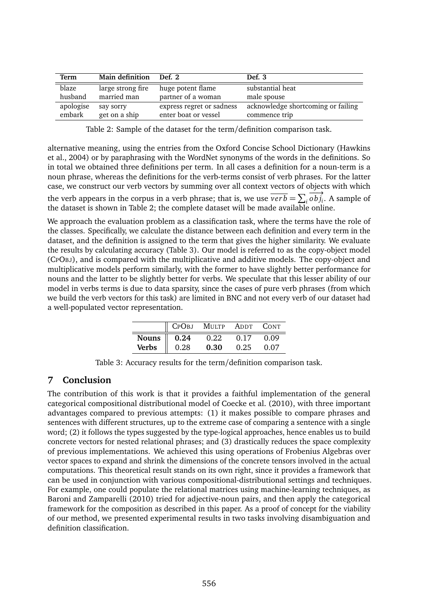| Term                | Main definition            | Def. 2                                            | Def. 3                             |
|---------------------|----------------------------|---------------------------------------------------|------------------------------------|
| blaze               | large strong fire          | huge potent flame                                 | substantial heat                   |
| husband             | married man                | partner of a woman                                | male spouse                        |
| apologise<br>embark | say sorry<br>get on a ship | express regret or sadness<br>enter boat or vessel | acknowledge shortcoming or failing |
|                     |                            |                                                   | commence trip                      |

Table 2: Sample of the dataset for the term/definition comparison task.

alternative meaning, using the entries from the Oxford Concise School Dictionary (Hawkins et al., 2004) or by paraphrasing with the WordNet synonyms of the words in the definitions. So in total we obtained three definitions per term. In all cases a definition for a noun-term is a noun phrase, whereas the definitions for the verb-terms consist of verb phrases. For the latter case, we construct our verb vectors by summing over all context vectors of objects with which the verb appears in the corpus in a verb phrase; that is, we use  $\overrightarrow{verb} = \sum_i \overrightarrow{obj}_i$ . A sample of the dataset is shown in Table 2; the complete dataset will be made available online.

We approach the evaluation problem as a classification task, where the terms have the role of the classes. Specifically, we calculate the distance between each definition and every term in the dataset, and the definition is assigned to the term that gives the higher similarity. We evaluate the results by calculating accuracy (Table 3). Our model is referred to as the copy-object model (CPOBJ), and is compared with the multiplicative and additive models. The copy-object and multiplicative models perform similarly, with the former to have slightly better performance for nouns and the latter to be slightly better for verbs. We speculate that this lesser ability of our model in verbs terms is due to data sparsity, since the cases of pure verb phrases (from which we build the verb vectors for this task) are limited in BNC and not every verb of our dataset had a well-populated vector representation.

|                        |      | CPOBJ MULTP ADDT CONT |      |      |
|------------------------|------|-----------------------|------|------|
| Nouns $\parallel$ 0.24 |      | 0.22                  | 0.17 | 0.09 |
| Verbs                  | 0.28 | 0.30                  | 0.25 | 0.07 |

Table 3: Accuracy results for the term/definition comparison task.

# **7 Conclusion**

The contribution of this work is that it provides a faithful implementation of the general categorical compositional distributional model of Coecke et al. (2010), with three important advantages compared to previous attempts: (1) it makes possible to compare phrases and sentences with different structures, up to the extreme case of comparing a sentence with a single word; (2) it follows the types suggested by the type-logical approaches, hence enables us to build concrete vectors for nested relational phrases; and (3) drastically reduces the space complexity of previous implementations. We achieved this using operations of Frobenius Algebras over vector spaces to expand and shrink the dimensions of the concrete tensors involved in the actual computations. This theoretical result stands on its own right, since it provides a framework that can be used in conjunction with various compositional-distributional settings and techniques. For example, one could populate the relational matrices using machine-learning techniques, as Baroni and Zamparelli (2010) tried for adjective-noun pairs, and then apply the categorical framework for the composition as described in this paper. As a proof of concept for the viability of our method, we presented experimental results in two tasks involving disambiguation and definition classification.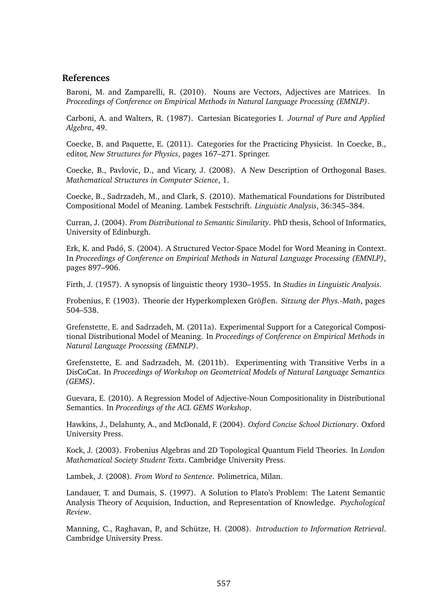### **References**

Baroni, M. and Zamparelli, R. (2010). Nouns are Vectors, Adjectives are Matrices. In *Proceedings of Conference on Empirical Methods in Natural Language Processing (EMNLP)*.

Carboni, A. and Walters, R. (1987). Cartesian Bicategories I. *Journal of Pure and Applied Algebra*, 49.

Coecke, B. and Paquette, E. (2011). Categories for the Practicing Physicist. In Coecke, B., editor, *New Structures for Physics*, pages 167–271. Springer.

Coecke, B., Pavlovic, D., and Vicary, J. (2008). A New Description of Orthogonal Bases. *Mathematical Structures in Computer Science*, 1.

Coecke, B., Sadrzadeh, M., and Clark, S. (2010). Mathematical Foundations for Distributed Compositional Model of Meaning. Lambek Festschrift. *Linguistic Analysis*, 36:345–384.

Curran, J. (2004). *From Distributional to Semantic Similarity*. PhD thesis, School of Informatics, University of Edinburgh.

Erk, K. and Padó, S. (2004). A Structured Vector-Space Model for Word Meaning in Context. In *Proceedings of Conference on Empirical Methods in Natural Language Processing (EMNLP)*, pages 897–906.

Firth, J. (1957). A synopsis of linguistic theory 1930–1955. In *Studies in Linguistic Analysis*.

Frobenius, F. (1903). Theorie der Hyperkomplexen Grö*β*en. *Sitzung der Phys.-Math*, pages 504–538.

Grefenstette, E. and Sadrzadeh, M. (2011a). Experimental Support for a Categorical Compositional Distributional Model of Meaning. In *Proceedings of Conference on Empirical Methods in Natural Language Processing (EMNLP)*.

Grefenstette, E. and Sadrzadeh, M. (2011b). Experimenting with Transitive Verbs in a DisCoCat. In *Proceedings of Workshop on Geometrical Models of Natural Language Semantics (GEMS)*.

Guevara, E. (2010). A Regression Model of Adjective-Noun Compositionality in Distributional Semantics. In *Proceedings of the ACL GEMS Workshop*.

Hawkins, J., Delahunty, A., and McDonald, F. (2004). *Oxford Concise School Dictionary*. Oxford University Press.

Kock, J. (2003). Frobenius Algebras and 2D Topological Quantum Field Theories. In *London Mathematical Society Student Texts*. Cambridge University Press.

Lambek, J. (2008). *From Word to Sentence*. Polimetrica, Milan.

Landauer, T. and Dumais, S. (1997). A Solution to Plato's Problem: The Latent Semantic Analysis Theory of Acquision, Induction, and Representation of Knowledge. *Psychological Review*.

Manning, C., Raghavan, P., and Schütze, H. (2008). *Introduction to Information Retrieval*. Cambridge University Press.